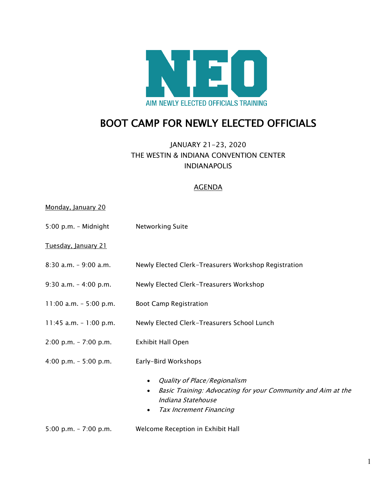

# BOOT CAMP FOR NEWLY ELECTED OFFICIALS

## JANUARY 21-23, 2020 THE WESTIN & INDIANA CONVENTION CENTER INDIANAPOLIS

### AGENDA

#### Monday, January 20

5:00 p.m. - Midnight Networking Suite

Tuesday, January 21

- 8:30 a.m. 9:00 a.m. Newly Elected Clerk-Treasurers Workshop Registration
- 9:30 a.m. 4:00 p.m. Newly Elected Clerk-Treasurers Workshop
- 11:00 a.m. 5:00 p.m. Boot Camp Registration
- 11:45 a.m. 1:00 p.m. Newly Elected Clerk-Treasurers School Lunch
- 2:00 p.m. 7:00 p.m. Exhibit Hall Open
- 4:00 p.m. 5:00 p.m. Early-Bird Workshops
	- Quality of Place/Regionalism
	- Basic Training: Advocating for your Community and Aim at the Indiana Statehouse
	- Tax Increment Financing

5:00 p.m. – 7:00 p.m. Welcome Reception in Exhibit Hall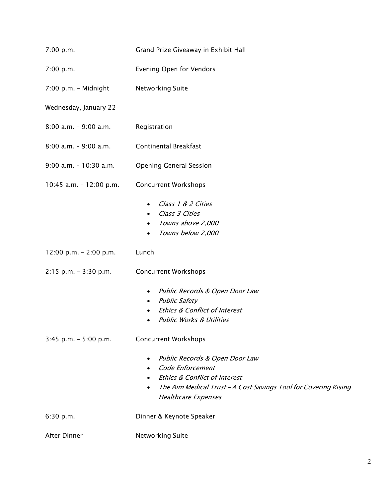| 7:00 p.m.                | Grand Prize Giveaway in Exhibit Hall                                                                                                                                                                                                                |
|--------------------------|-----------------------------------------------------------------------------------------------------------------------------------------------------------------------------------------------------------------------------------------------------|
| 7:00 p.m.                | Evening Open for Vendors                                                                                                                                                                                                                            |
| 7:00 p.m. - Midnight     | Networking Suite                                                                                                                                                                                                                                    |
| Wednesday, January 22    |                                                                                                                                                                                                                                                     |
| 8:00 a.m. - 9:00 a.m.    | Registration                                                                                                                                                                                                                                        |
| $8:00$ a.m. - 9:00 a.m.  | <b>Continental Breakfast</b>                                                                                                                                                                                                                        |
| 9:00 a.m. - 10:30 a.m.   | <b>Opening General Session</b>                                                                                                                                                                                                                      |
| 10:45 a.m. - 12:00 p.m.  | <b>Concurrent Workshops</b>                                                                                                                                                                                                                         |
|                          | Class 1 & 2 Cities<br>$\bullet$<br>Class 3 Cities<br>$\bullet$<br>Towns above 2,000<br>$\bullet$<br>Towns below 2,000<br>$\bullet$                                                                                                                  |
| 12:00 p.m. $- 2:00$ p.m. | Lunch                                                                                                                                                                                                                                               |
| $2:15$ p.m. - 3:30 p.m.  | <b>Concurrent Workshops</b>                                                                                                                                                                                                                         |
|                          | Public Records & Open Door Law<br>$\bullet$<br><b>Public Safety</b><br>$\bullet$<br><b>Ethics &amp; Conflict of Interest</b><br><b>Public Works &amp; Utilities</b><br>$\bullet$                                                                    |
| $3:45$ p.m. - 5:00 p.m.  | <b>Concurrent Workshops</b>                                                                                                                                                                                                                         |
|                          | Public Records & Open Door Law<br>$\bullet$<br>Code Enforcement<br>$\bullet$<br><b>Ethics &amp; Conflict of Interest</b><br>$\bullet$<br>The Aim Medical Trust - A Cost Savings Tool for Covering Rising<br>$\bullet$<br><b>Healthcare Expenses</b> |
| 6:30 p.m.                | Dinner & Keynote Speaker                                                                                                                                                                                                                            |
| After Dinner             | Networking Suite                                                                                                                                                                                                                                    |